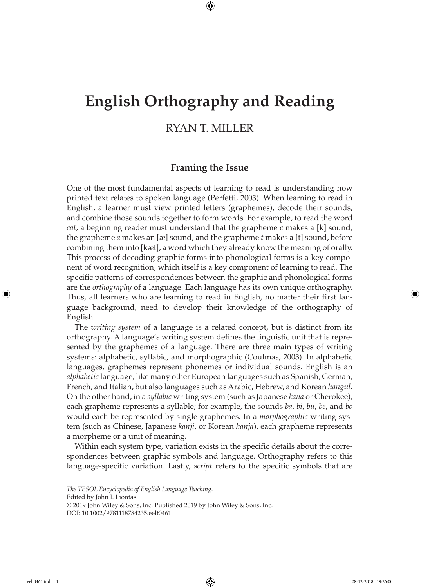# **English Orthography and Reading**

## RYAN T. MILLER

#### **Framing the Issue**

One of the most fundamental aspects of learning to read is understanding how printed text relates to spoken language (Perfetti, 2003). When learning to read in English, a learner must view printed letters (graphemes), decode their sounds, and combine those sounds together to form words. For example, to read the word *cat*, a beginning reader must understand that the grapheme *c* makes a [k] sound, the grapheme *a* makes an [æ] sound, and the grapheme *t* makes a [t] sound, before combining them into [kæt], a word which they already know the meaning of orally. This process of decoding graphic forms into phonological forms is a key component of word recognition, which itself is a key component of learning to read. The specific patterns of correspondences between the graphic and phonological forms are the *orthography* of a language. Each language has its own unique orthography. Thus, all learners who are learning to read in English, no matter their first language background, need to develop their knowledge of the orthography of English.

The *writing system* of a language is a related concept, but is distinct from its orthography. A language's writing system defines the linguistic unit that is represented by the graphemes of a language. There are three main types of writing systems: alphabetic, syllabic, and morphographic (Coulmas, 2003). In alphabetic languages, graphemes represent phonemes or individual sounds. English is an *alphabetic* language, like many other European languages such as Spanish, German, French, and Italian, but also languages such as Arabic, Hebrew, and Korean *hangul*. On the other hand, in a *syllabic* writing system (such as Japanese *kana* or Cherokee), each grapheme represents a syllable; for example, the sounds *ba*, *bi*, *bu*, *be*, and *bo* would each be represented by single graphemes. In a *morphographic* writing system (such as Chinese, Japanese *kanji*, or Korean *hanja*), each grapheme represents a morpheme or a unit of meaning.

Within each system type, variation exists in the specific details about the correspondences between graphic symbols and language. Orthography refers to this language‐specific variation. Lastly, *script* refers to the specific symbols that are

*The TESOL Encyclopedia of English Language Teaching*. Edited by John I. Liontas. © 2019 John Wiley & Sons, Inc. Published 2019 by John Wiley & Sons, Inc. DOI: 10.1002/9781118784235.eelt0461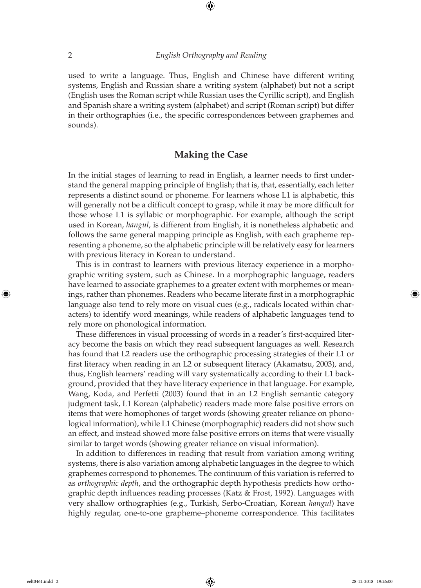used to write a language. Thus, English and Chinese have different writing systems, English and Russian share a writing system (alphabet) but not a script (English uses the Roman script while Russian uses the Cyrillic script), and English and Spanish share a writing system (alphabet) and script (Roman script) but differ in their orthographies (i.e., the specific correspondences between graphemes and sounds).

#### **Making the Case**

In the initial stages of learning to read in English, a learner needs to first understand the general mapping principle of English; that is, that, essentially, each letter represents a distinct sound or phoneme. For learners whose L1 is alphabetic, this will generally not be a difficult concept to grasp, while it may be more difficult for those whose L1 is syllabic or morphographic. For example, although the script used in Korean, *hangul*, is different from English, it is nonetheless alphabetic and follows the same general mapping principle as English, with each grapheme representing a phoneme, so the alphabetic principle will be relatively easy for learners with previous literacy in Korean to understand.

This is in contrast to learners with previous literacy experience in a morphographic writing system, such as Chinese. In a morphographic language, readers have learned to associate graphemes to a greater extent with morphemes or meanings, rather than phonemes. Readers who became literate first in a morphographic language also tend to rely more on visual cues (e.g., radicals located within characters) to identify word meanings, while readers of alphabetic languages tend to rely more on phonological information.

These differences in visual processing of words in a reader's first-acquired literacy become the basis on which they read subsequent languages as well. Research has found that L2 readers use the orthographic processing strategies of their L1 or first literacy when reading in an L2 or subsequent literacy (Akamatsu, 2003), and, thus, English learners' reading will vary systematically according to their L1 background, provided that they have literacy experience in that language. For example, Wang, Koda, and Perfetti (2003) found that in an L2 English semantic category judgment task, L1 Korean (alphabetic) readers made more false positive errors on items that were homophones of target words (showing greater reliance on phonological information), while L1 Chinese (morphographic) readers did not show such an effect, and instead showed more false positive errors on items that were visually similar to target words (showing greater reliance on visual information).

In addition to differences in reading that result from variation among writing systems, there is also variation among alphabetic languages in the degree to which graphemes correspond to phonemes. The continuum of this variation is referred to as *orthographic depth*, and the orthographic depth hypothesis predicts how orthographic depth influences reading processes (Katz & Frost, 1992). Languages with very shallow orthographies (e.g., Turkish, Serbo‐Croatian, Korean *hangul*) have highly regular, one-to-one grapheme–phoneme correspondence. This facilitates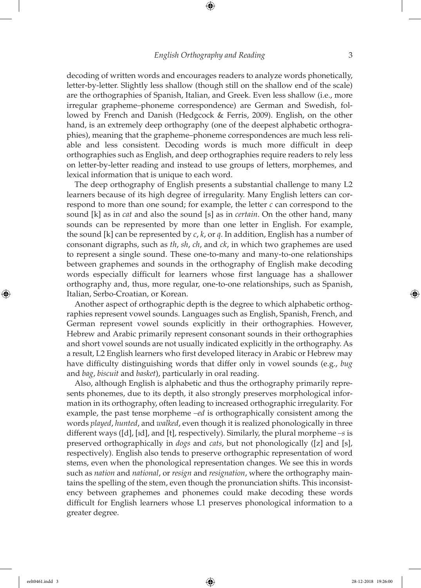decoding of written words and encourages readers to analyze words phonetically, letter‐by‐letter. Slightly less shallow (though still on the shallow end of the scale) are the orthographies of Spanish, Italian, and Greek. Even less shallow (i.e., more irregular grapheme–phoneme correspondence) are German and Swedish, followed by French and Danish (Hedgcock & Ferris, 2009). English, on the other hand, is an extremely deep orthography (one of the deepest alphabetic orthographies), meaning that the grapheme–phoneme correspondences are much less reliable and less consistent. Decoding words is much more difficult in deep orthographies such as English, and deep orthographies require readers to rely less on letter‐by‐letter reading and instead to use groups of letters, morphemes, and lexical information that is unique to each word.

The deep orthography of English presents a substantial challenge to many L2 learners because of its high degree of irregularity. Many English letters can correspond to more than one sound; for example, the letter *c* can correspond to the sound [k] as in *cat* and also the sound [s] as in *certain*. On the other hand, many sounds can be represented by more than one letter in English. For example, the sound [k] can be represented by *c*, *k*, or *q*. In addition, English has a number of consonant digraphs, such as *th*, *sh*, *ch*, and *ck*, in which two graphemes are used to represent a single sound. These one‐to‐many and many‐to‐one relationships between graphemes and sounds in the orthography of English make decoding words especially difficult for learners whose first language has a shallower orthography and, thus, more regular, one‐to‐one relationships, such as Spanish, Italian, Serbo‐Croatian, or Korean.

Another aspect of orthographic depth is the degree to which alphabetic orthographies represent vowel sounds. Languages such as English, Spanish, French, and German represent vowel sounds explicitly in their orthographies. However, Hebrew and Arabic primarily represent consonant sounds in their orthographies and short vowel sounds are not usually indicated explicitly in the orthography. As a result, L2 English learners who first developed literacy in Arabic or Hebrew may have difficulty distinguishing words that differ only in vowel sounds (e.g., *bug* and *bag*, *biscuit* and *basket*), particularly in oral reading.

Also, although English is alphabetic and thus the orthography primarily represents phonemes, due to its depth, it also strongly preserves morphological information in its orthography, often leading to increased orthographic irregularity. For example, the past tense morpheme *–ed* is orthographically consistent among the words *played*, *hunted*, and *walked*, even though it is realized phonologically in three different ways ([d], [ɪd], and [t], respectively). Similarly, the plural morpheme *–s* is preserved orthographically in *dogs* and *cats*, but not phonologically ([z] and [s], respectively). English also tends to preserve orthographic representation of word stems, even when the phonological representation changes. We see this in words such as *nation* and *national*, or *resign* and *resignation*, where the orthography maintains the spelling of the stem, even though the pronunciation shifts. This inconsistency between graphemes and phonemes could make decoding these words difficult for English learners whose L1 preserves phonological information to a greater degree.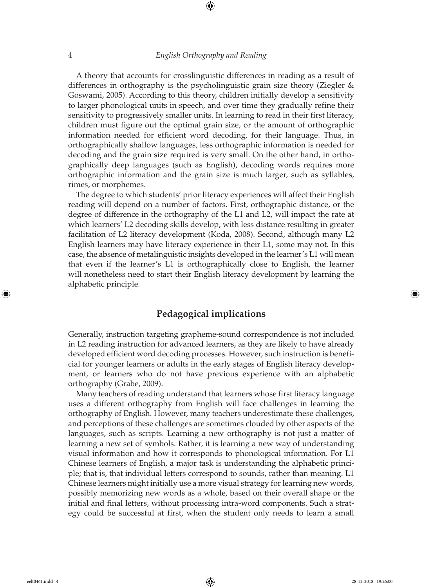A theory that accounts for crosslinguistic differences in reading as a result of differences in orthography is the psycholinguistic grain size theory (Ziegler & Goswami, 2005). According to this theory, children initially develop a sensitivity to larger phonological units in speech, and over time they gradually refine their sensitivity to progressively smaller units. In learning to read in their first literacy, children must figure out the optimal grain size, or the amount of orthographic information needed for efficient word decoding, for their language. Thus, in orthographically shallow languages, less orthographic information is needed for decoding and the grain size required is very small. On the other hand, in orthographically deep languages (such as English), decoding words requires more orthographic information and the grain size is much larger, such as syllables, rimes, or morphemes.

The degree to which students' prior literacy experiences will affect their English reading will depend on a number of factors. First, orthographic distance, or the degree of difference in the orthography of the L1 and L2, will impact the rate at which learners' L2 decoding skills develop, with less distance resulting in greater facilitation of L2 literacy development (Koda, 2008). Second, although many L2 English learners may have literacy experience in their L1, some may not. In this case, the absence of metalinguistic insights developed in the learner's L1 will mean that even if the learner's L1 is orthographically close to English, the learner will nonetheless need to start their English literacy development by learning the alphabetic principle.

### **Pedagogical implications**

Generally, instruction targeting grapheme‐sound correspondence is not included in L2 reading instruction for advanced learners, as they are likely to have already developed efficient word decoding processes. However, such instruction is beneficial for younger learners or adults in the early stages of English literacy development, or learners who do not have previous experience with an alphabetic orthography (Grabe, 2009).

Many teachers of reading understand that learners whose first literacy language uses a different orthography from English will face challenges in learning the orthography of English. However, many teachers underestimate these challenges, and perceptions of these challenges are sometimes clouded by other aspects of the languages, such as scripts. Learning a new orthography is not just a matter of learning a new set of symbols. Rather, it is learning a new way of understanding visual information and how it corresponds to phonological information. For L1 Chinese learners of English, a major task is understanding the alphabetic principle; that is, that individual letters correspond to sounds, rather than meaning. L1 Chinese learners might initially use a more visual strategy for learning new words, possibly memorizing new words as a whole, based on their overall shape or the initial and final letters, without processing intra-word components. Such a strategy could be successful at first, when the student only needs to learn a small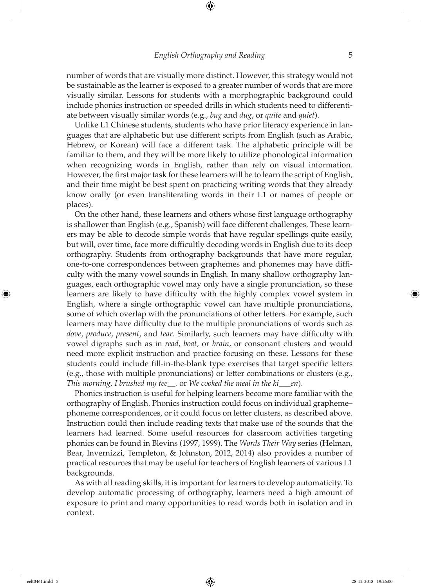number of words that are visually more distinct. However, this strategy would not be sustainable as the learner is exposed to a greater number of words that are more visually similar. Lessons for students with a morphographic background could include phonics instruction or speeded drills in which students need to differentiate between visually similar words (e.g., *bug* and *dug*, or *quite* and *quiet*).

Unlike L1 Chinese students, students who have prior literacy experience in languages that are alphabetic but use different scripts from English (such as Arabic, Hebrew, or Korean) will face a different task. The alphabetic principle will be familiar to them, and they will be more likely to utilize phonological information when recognizing words in English, rather than rely on visual information. However, the first major task for these learners will be to learn the script of English, and their time might be best spent on practicing writing words that they already know orally (or even transliterating words in their L1 or names of people or places).

On the other hand, these learners and others whose first language orthography is shallower than English (e.g., Spanish) will face different challenges. These learners may be able to decode simple words that have regular spellings quite easily, but will, over time, face more difficultly decoding words in English due to its deep orthography. Students from orthography backgrounds that have more regular, one‐to‐one correspondences between graphemes and phonemes may have difficulty with the many vowel sounds in English. In many shallow orthography languages, each orthographic vowel may only have a single pronunciation, so these learners are likely to have difficulty with the highly complex vowel system in English, where a single orthographic vowel can have multiple pronunciations, some of which overlap with the pronunciations of other letters. For example, such learners may have difficulty due to the multiple pronunciations of words such as *dove*, *produce*, *present*, and *tear*. Similarly, such learners may have difficulty with vowel digraphs such as in *read, boat,* or *brain*, or consonant clusters and would need more explicit instruction and practice focusing on these. Lessons for these students could include fill‐in‐the‐blank type exercises that target specific letters (e.g., those with multiple pronunciations) or letter combinations or clusters (e.g., *This morning, I brushed my tee\_\_.* or *We cooked the meal in the ki\_\_\_en*).

Phonics instruction is useful for helping learners become more familiar with the orthography of English. Phonics instruction could focus on individual grapheme– phoneme correspondences, or it could focus on letter clusters, as described above. Instruction could then include reading texts that make use of the sounds that the learners had learned. Some useful resources for classroom activities targeting phonics can be found in Blevins (1997, 1999). The *Words Their Way* series (Helman, Bear, Invernizzi, Templeton, & Johnston, 2012, 2014) also provides a number of practical resources that may be useful for teachers of English learners of various L1 backgrounds.

As with all reading skills, it is important for learners to develop automaticity. To develop automatic processing of orthography, learners need a high amount of exposure to print and many opportunities to read words both in isolation and in context.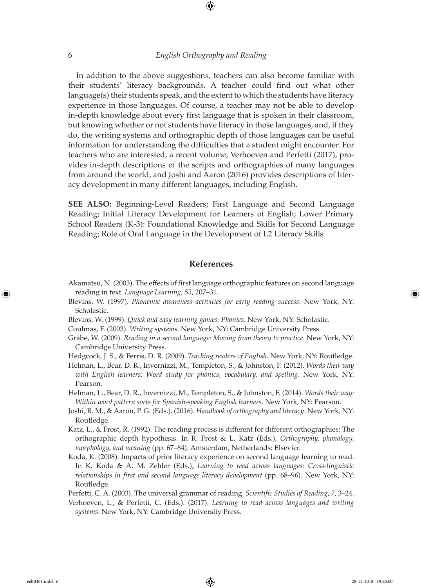In addition to the above suggestions, teachers can also become familiar with their students' literacy backgrounds. A teacher could find out what other language(s) their students speak, and the extent to which the students have literacy experience in those languages. Of course, a teacher may not be able to develop in-depth knowledge about every first language that is spoken in their classroom, but knowing whether or not students have literacy in those languages, and, if they do, the writing systems and orthographic depth of those languages can be useful information for understanding the difficulties that a student might encounter. For teachers who are interested, a recent volume, Verhoeven and Perfetti (2017), provides in‐depth descriptions of the scripts and orthographies of many languages from around the world, and Joshi and Aaron (2016) provides descriptions of literacy development in many different languages, including English.

**SEE ALSO:** Beginning-Level Readers; First Language and Second Language Reading; Initial Literacy Development for Learners of English; Lower Primary School Readers (K-3): Foundational Knowledge and Skills for Second Language Reading; Role of Oral Language in the Development of L2 Literacy Skills

#### **References**

- Akamatsu, N. (2003). The effects of first language orthographic features on second language reading in text. *Language Learning*, *53*, 207–31.
- Blevins, W. (1997). *Phonemic awareness activities for early reading success*. New York, NY: Scholastic.
- Blevins, W. (1999). *Quick and easy learning games: Phonics*. New York, NY: Scholastic.

Coulmas, F. (2003). *Writing systems*. New York, NY: Cambridge University Press.

- Grabe, W. (2009). *Reading in a second language: Moving from theory to practice*. New York, NY: Cambridge University Press.
- Hedgcock, J. S., & Ferris, D. R. (2009). *Teaching readers of English*. New York, NY: Routledge.
- Helman, L., Bear, D. R., Invernizzi, M., Templeton, S., & Johnston, F. (2012). *Words their way with English learners: Word study for phonics, vocabulary, and spelling*. New York, NY: Pearson.
- Helman, L., Bear, D. R., Invernizzi, M., Templeton, S., & Johnston, F. (2014). *Words their way: Within word pattern sorts for Spanish‐speaking English learners*. New York, NY: Pearson.
- Joshi, R. M., & Aaron, P. G. (Eds.). (2016). *Handbook of orthography and literacy*. New York, NY: Routledge.
- Katz, L., & Frost, R. (1992). The reading process is different for different orthographies: The orthographic depth hypothesis. In R. Frost & L. Katz (Eds.), *Orthography, phonology, morphology, and meaning* (pp. 67–84). Amsterdam, Netherlands: Elsevier.
- Koda, K. (2008). Impacts of prior literacy experience on second language learning to read. In K. Koda & A. M. Zehler (Eds.), *Learning to read across languages: Cross‐linguistic relationships in first and second language literacy development* (pp. 68–96). New York, NY: Routledge.
- Perfetti, C. A. (2003). The universal grammar of reading. *Scientific Studies of Reading*, *7*, 3–24.
- Verhoeven, L., & Perfetti, C. (Eds.). (2017). *Learning to read across languages and writing systems*. New York, NY: Cambridge University Press.